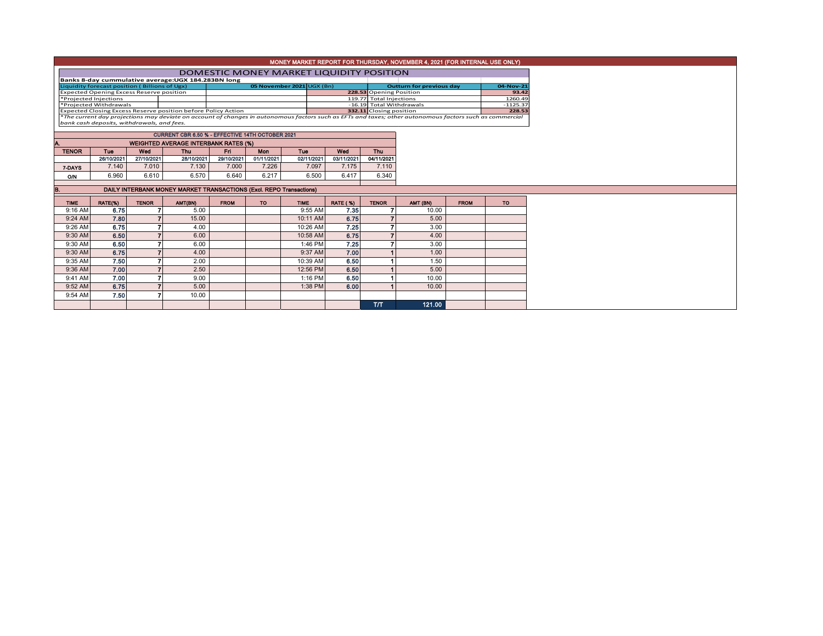| MONEY MARKET REPORT FOR THURSDAY, NOVEMBER 4, 2021 (FOR INTERNAL USE ONLY) |                                                                                                                                                                                                        |              |                                                     |             |            |             |                 |                                                     |                                 |                      |           |  |  |
|----------------------------------------------------------------------------|--------------------------------------------------------------------------------------------------------------------------------------------------------------------------------------------------------|--------------|-----------------------------------------------------|-------------|------------|-------------|-----------------|-----------------------------------------------------|---------------------------------|----------------------|-----------|--|--|
|                                                                            | DOMESTIC MONEY MARKET LIQUIDITY POSITION                                                                                                                                                               |              |                                                     |             |            |             |                 |                                                     |                                 |                      |           |  |  |
|                                                                            |                                                                                                                                                                                                        |              | Banks 8-day cummulative average: UGX 184.283BN long |             |            |             |                 |                                                     |                                 |                      |           |  |  |
| 05 November 2021 UGX (Bn)<br>Liquidity forecast position (Billions of Ugx) |                                                                                                                                                                                                        |              |                                                     |             |            |             |                 |                                                     | <b>Outturn for previous day</b> |                      | 04-Nov-21 |  |  |
| <b>Expected Opening Excess Reserve position</b>                            |                                                                                                                                                                                                        |              |                                                     |             |            |             |                 | 228.53 Opening Position                             |                                 |                      | 93.42     |  |  |
| *Projected Injections                                                      |                                                                                                                                                                                                        |              |                                                     |             |            |             |                 | 119.77 Total Injections                             |                                 |                      | 1260.49   |  |  |
| *Projected Withdrawals                                                     |                                                                                                                                                                                                        |              |                                                     |             |            |             |                 | -16.19 Total Withdrawals<br>332.11 Closing position |                                 | $-1125.37$<br>228.53 |           |  |  |
| Expected Closing Excess Reserve position before Policy Action              |                                                                                                                                                                                                        |              |                                                     |             |            |             |                 |                                                     |                                 |                      |           |  |  |
|                                                                            | *The current day projections may deviate on account of changes in autonomous factors such as EFTs and taxes; other autonomous factors such as commercial<br>bank cash deposits, withdrawals, and fees. |              |                                                     |             |            |             |                 |                                                     |                                 |                      |           |  |  |
|                                                                            |                                                                                                                                                                                                        |              |                                                     |             |            |             |                 |                                                     |                                 |                      |           |  |  |
|                                                                            |                                                                                                                                                                                                        |              | CURRENT CBR 6.50 % - EFFECTIVE 14TH OCTOBER 2021    |             |            |             |                 |                                                     |                                 |                      |           |  |  |
|                                                                            |                                                                                                                                                                                                        |              | <b>WEIGHTED AVERAGE INTERBANK RATES (%)</b>         |             |            |             |                 |                                                     |                                 |                      |           |  |  |
| <b>TENOR</b>                                                               | <b>Tue</b>                                                                                                                                                                                             | Wed          | <b>Thu</b>                                          | Fn.         | <b>Mon</b> | <b>Tue</b>  | Wed             | <b>Thu</b>                                          |                                 |                      |           |  |  |
|                                                                            | 26/10/2021                                                                                                                                                                                             | 27/10/2021   | 28/10/2021                                          | 29/10/2021  | 01/11/2021 | 02/11/2021  | 03/11/2021      | 04/11/2021                                          |                                 |                      |           |  |  |
| 7-DAYS                                                                     | 7.140                                                                                                                                                                                                  | 7.010        | 7.130                                               | 7.000       | 7.226      | 7.097       | 7.175           | 7.110                                               |                                 |                      |           |  |  |
| O/N                                                                        | 6.960                                                                                                                                                                                                  | 6.610        | 6.570                                               | 6.640       | 6.217      | 6.500       | 6.417           | 6.340                                               |                                 |                      |           |  |  |
| DAILY INTERBANK MONEY MARKET TRANSACTIONS (Excl. REPO Transactions)        |                                                                                                                                                                                                        |              |                                                     |             |            |             |                 |                                                     |                                 |                      |           |  |  |
|                                                                            |                                                                                                                                                                                                        |              |                                                     |             |            |             |                 |                                                     |                                 |                      |           |  |  |
| В.                                                                         |                                                                                                                                                                                                        |              |                                                     |             |            |             |                 |                                                     |                                 |                      |           |  |  |
| <b>TIME</b>                                                                | RATE(%)                                                                                                                                                                                                | <b>TENOR</b> | AMT(BN)                                             | <b>FROM</b> | <b>TO</b>  | <b>TIME</b> | <b>RATE (%)</b> | <b>TENOR</b>                                        | AMT (BN)                        | <b>FROM</b>          | <b>TO</b> |  |  |
| 9:16 AM                                                                    | 6.75                                                                                                                                                                                                   |              | 5.00                                                |             |            | 9:55 AM     | 7.35            |                                                     | 10.00                           |                      |           |  |  |
| 9:24 AM                                                                    | 7.80                                                                                                                                                                                                   |              | 15.00                                               |             |            | 10:11 AM    | 6.75            |                                                     | 5.00                            |                      |           |  |  |
| 9:26 AM                                                                    | 6.75                                                                                                                                                                                                   |              | 4.00                                                |             |            | 10:26 AM    | 7.25            |                                                     | 3.00                            |                      |           |  |  |
| 9:30 AM                                                                    | 6.50                                                                                                                                                                                                   |              | 6.00                                                |             |            | 10:58 AM    | 6.75            |                                                     | 4.00                            |                      |           |  |  |
| 9:30 AM                                                                    | 6.50                                                                                                                                                                                                   |              | 6.00                                                |             |            | 1:46 PM     | 7.25            |                                                     | 3.00                            |                      |           |  |  |
| 9:30 AM                                                                    | 6.75                                                                                                                                                                                                   |              | 4.00                                                |             |            | 9:37 AM     | 7.00            |                                                     | 1.00                            |                      |           |  |  |
| 9:35 AM                                                                    | 7.50                                                                                                                                                                                                   |              | 2.00                                                |             |            | 10:39 AM    | 6.50            |                                                     | 1.50                            |                      |           |  |  |
| 9:36 AM                                                                    | 7.00                                                                                                                                                                                                   |              | 2.50                                                |             |            | 12:56 PM    | 6.50            |                                                     | 5.00                            |                      |           |  |  |
| 9:41 AM                                                                    | 7.00                                                                                                                                                                                                   |              | 9.00                                                |             |            | 1:16 PM     | 6.50            |                                                     | 10.00                           |                      |           |  |  |
| 9:52 AM                                                                    | 6.75                                                                                                                                                                                                   |              | 5.00                                                |             |            | 1:38 PM     | 6.00            |                                                     | 10.00                           |                      |           |  |  |
| 9:54 AM                                                                    | 7.50                                                                                                                                                                                                   |              | 10.00                                               |             |            |             |                 |                                                     |                                 |                      |           |  |  |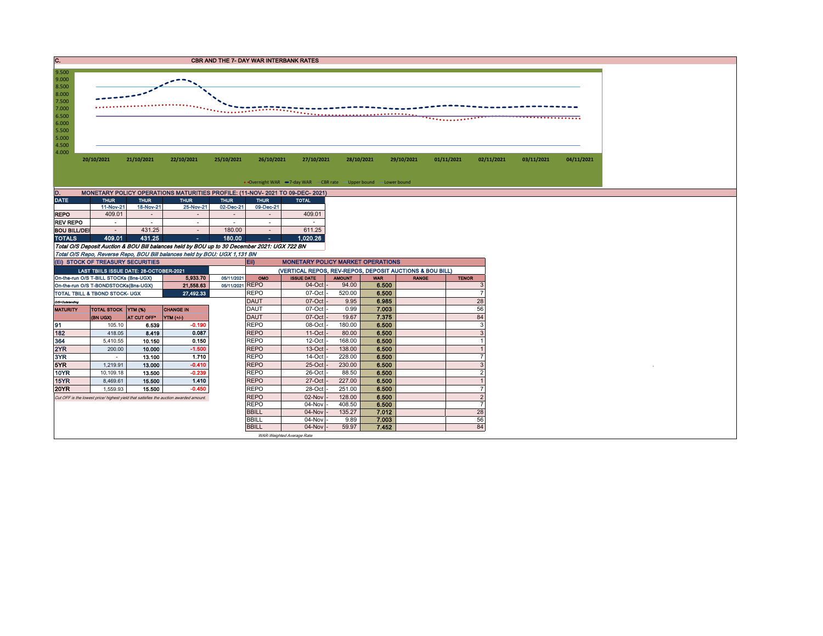

| MONETARY POLICY OPERATIONS MATURITIES PROFILE: (11-NOV- 2021 TO 09-DEC- 2021)<br>D. |             |             |                          |                |             |              |  |  |  |  |  |  |  |
|-------------------------------------------------------------------------------------|-------------|-------------|--------------------------|----------------|-------------|--------------|--|--|--|--|--|--|--|
| <b>DATE</b>                                                                         | <b>THUR</b> | <b>THUR</b> | <b>THUR</b>              | <b>THUR</b>    | <b>THUR</b> | <b>TOTAL</b> |  |  |  |  |  |  |  |
|                                                                                     | 11-Nov-21   | 18-Nov-21   | 25-Nov-21                | 02-Dec-21      | 09-Dec-21   |              |  |  |  |  |  |  |  |
| <b>REPO</b>                                                                         | 409.01      |             |                          | $\blacksquare$ |             | 409.01       |  |  |  |  |  |  |  |
| <b>REV REPO</b>                                                                     | ۰           | ۰           |                          | ۰              | ۰           |              |  |  |  |  |  |  |  |
| <b>BOU BILL/DEI</b>                                                                 | ٠           | 431.25      | $\overline{\phantom{a}}$ | 180.00         |             | 611.25       |  |  |  |  |  |  |  |
| <b>TOTALS</b>                                                                       | 409.01      | 431.25      | ۰                        | 180.00         | ٠           | 1.020.26     |  |  |  |  |  |  |  |

Total O/S Deposit Auction & BOU Bill balances held by BOU up to 30 December 2021: UGX 722 BN

Total O/S Repo, Reverse Repo, BOU Bill balances held by BOU: UGX 1,131 BN

|                                                                      | (EI) STOCK OF TREASURY SECURITIES       |             |                                                                                       |  | $E$ ii)<br><b>MONETARY POLICY MARKET OPERATIONS</b>      |                     |               |            |              |              |  |  |
|----------------------------------------------------------------------|-----------------------------------------|-------------|---------------------------------------------------------------------------------------|--|----------------------------------------------------------|---------------------|---------------|------------|--------------|--------------|--|--|
|                                                                      | LAST TBIILS ISSUE DATE: 28-OCTOBER-2021 |             |                                                                                       |  | (VERTICAL REPOS, REV-REPOS, DEPOSIT AUCTIONS & BOU BILL) |                     |               |            |              |              |  |  |
| 5,933.70<br>On-the-run O/S T-BILL STOCKs (Bns-UGX)<br>05/11/2021     |                                         |             |                                                                                       |  |                                                          | <b>ISSUE DATE</b>   | <b>AMOUNT</b> | <b>WAR</b> | <b>RANGE</b> | <b>TENOR</b> |  |  |
| 05/11/2021 REPO<br>21,558.63<br>On-the-run O/S T-BONDSTOCKs(Bns-UGX) |                                         |             |                                                                                       |  |                                                          | $04$ -Oct           | 94.00         | 6.500      |              |              |  |  |
| 27,492.33<br><b>TOTAL TBILL &amp; TBOND STOCK- UGX</b>               |                                         |             |                                                                                       |  | <b>REPO</b>                                              | 07-Oct              | 520.00        | 6.500      |              |              |  |  |
| O/S=Outstanding                                                      |                                         |             |                                                                                       |  | <b>DAUT</b>                                              | $07$ -Oct -         | 9.95          | 6.985      |              | 28           |  |  |
| <b>MATURITY</b>                                                      | TOTAL STOCK YTM (%)                     |             | <b>CHANGE IN</b>                                                                      |  | <b>DAUT</b>                                              | 07-Oct              | 0.99          | 7.003      |              | 56           |  |  |
|                                                                      | (BN UGX)                                | AT CUT OFF* | YTM (+/-)                                                                             |  | <b>DAUT</b>                                              | 07-Oct              | 19.67         | 7.375      |              | 84           |  |  |
| 91                                                                   | 105.10                                  | 6.539       | $-0.190$                                                                              |  | <b>REPO</b>                                              | 08-Oct              | 180.00        | 6.500      |              |              |  |  |
| 182                                                                  | 418.05                                  | 8.419       | 0.087                                                                                 |  | <b>REPO</b>                                              | $11-Oct$            | 80.00         | 6.500      |              |              |  |  |
| 364                                                                  | 5,410.55                                | 10.150      | 0.150                                                                                 |  | <b>REPO</b>                                              | $12$ -Oct           | 168.00        | 6.500      |              |              |  |  |
| 2YR                                                                  | 200.00                                  | 10.000      | $-1.500$                                                                              |  | <b>REPO</b>                                              | 13-Oct              | 138.00        | 6.500      |              |              |  |  |
| 3YR                                                                  |                                         | 13.100      | 1.710                                                                                 |  | <b>REPO</b>                                              | 14-Oct              | 228.00        | 6.500      |              |              |  |  |
| 5YR                                                                  | 1,219.91                                | 13.000      | $-0.410$                                                                              |  | <b>REPO</b>                                              | 25-Oct              | 230.00        | 6.500      |              |              |  |  |
| <b>10YR</b>                                                          | 10,109.18                               | 13.500      | $-0.239$                                                                              |  | <b>REPO</b>                                              | $26$ -Oct           | 88.50         | 6.500      |              |              |  |  |
| <b>15YR</b>                                                          | 8,469.61                                | 15.500      | 1.410                                                                                 |  | <b>REPO</b>                                              | 27-Oct              | 227.00        | 6.500      |              |              |  |  |
| <b>20YR</b>                                                          | 1,559.93                                | 15.500      | $-0.450$                                                                              |  | <b>REPO</b>                                              | 28-Oct              | 251.00        | 6.500      |              |              |  |  |
|                                                                      |                                         |             | Cut OFF is the lowest price/ highest yield that satisfies the auction awarded amount. |  | <b>REPO</b>                                              | $02$ -Nov $\vert$ - | 128.00        | 6.500      |              |              |  |  |
|                                                                      |                                         |             |                                                                                       |  | <b>REPO</b>                                              | 04-Nov              | 408.50        | 6.500      |              |              |  |  |
|                                                                      |                                         |             |                                                                                       |  | <b>BBILL</b>                                             | $04$ -Nov           | 135.27        | 7.012      |              | 28           |  |  |
|                                                                      |                                         |             |                                                                                       |  | <b>BBILL</b>                                             | $04-Nov$ -          | 9.89          | 7.003      |              | 56           |  |  |
|                                                                      |                                         |             |                                                                                       |  | <b>BBILL</b>                                             | $04-Nov$ -          | 59.97         | 7.452      |              | 84           |  |  |
|                                                                      | WAR-Weighted Average Rate               |             |                                                                                       |  |                                                          |                     |               |            |              |              |  |  |